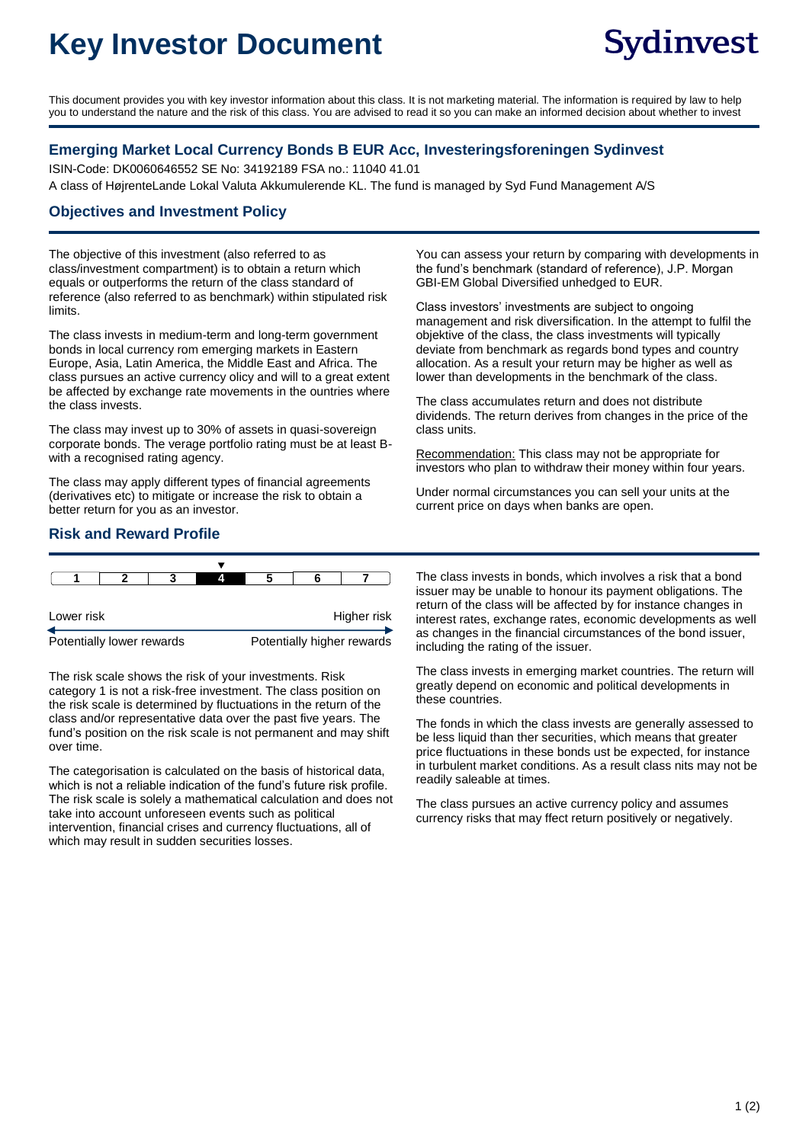# **Key Investor Document**

This document provides you with key investor information about this class. It is not marketing material. The information is required by law to help you to understand the nature and the risk of this class. You are advised to read it so you can make an informed decision about whether to invest

#### **Emerging Market Local Currency Bonds B EUR Acc, Investeringsforeningen Sydinvest**

ISIN-Code: DK0060646552 SE No: 34192189 FSA no.: 11040 41.01 A class of HøjrenteLande Lokal Valuta Akkumulerende KL. The fund is managed by Syd Fund Management A/S

#### **Objectives and Investment Policy**

The objective of this investment (also referred to as class/investment compartment) is to obtain a return which equals or outperforms the return of the class standard of reference (also referred to as benchmark) within stipulated risk limits.

The class invests in medium-term and long-term government bonds in local currency rom emerging markets in Eastern Europe, Asia, Latin America, the Middle East and Africa. The class pursues an active currency olicy and will to a great extent be affected by exchange rate movements in the ountries where the class invests.

The class may invest up to 30% of assets in quasi-sovereign corporate bonds. The verage portfolio rating must be at least Bwith a recognised rating agency.

The class may apply different types of financial agreements (derivatives etc) to mitigate or increase the risk to obtain a better return for you as an investor.

#### **Risk and Reward Profile**

| Lower risk |  |  |  | Higher risk |  |  |
|------------|--|--|--|-------------|--|--|
|            |  |  |  |             |  |  |

Potentially lower rewards **Potentially higher rewards** 

The risk scale shows the risk of your investments. Risk category 1 is not a risk-free investment. The class position on the risk scale is determined by fluctuations in the return of the class and/or representative data over the past five years. The fund's position on the risk scale is not permanent and may shift over time.

The categorisation is calculated on the basis of historical data, which is not a reliable indication of the fund's future risk profile. The risk scale is solely a mathematical calculation and does not take into account unforeseen events such as political intervention, financial crises and currency fluctuations, all of which may result in sudden securities losses.

You can assess your return by comparing with developments in the fund's benchmark (standard of reference), J.P. Morgan GBI-EM Global Diversified unhedged to EUR.

Class investors' investments are subject to ongoing management and risk diversification. In the attempt to fulfil the objektive of the class, the class investments will typically deviate from benchmark as regards bond types and country allocation. As a result your return may be higher as well as lower than developments in the benchmark of the class.

The class accumulates return and does not distribute dividends. The return derives from changes in the price of the class units.

Recommendation: This class may not be appropriate for investors who plan to withdraw their money within four years.

Under normal circumstances you can sell your units at the current price on days when banks are open.

The class invests in bonds, which involves a risk that a bond issuer may be unable to honour its payment obligations. The return of the class will be affected by for instance changes in interest rates, exchange rates, economic developments as well as changes in the financial circumstances of the bond issuer, including the rating of the issuer.

The class invests in emerging market countries. The return will greatly depend on economic and political developments in these countries.

The fonds in which the class invests are generally assessed to be less liquid than ther securities, which means that greater price fluctuations in these bonds ust be expected, for instance in turbulent market conditions. As a result class nits may not be readily saleable at times.

The class pursues an active currency policy and assumes currency risks that may ffect return positively or negatively.